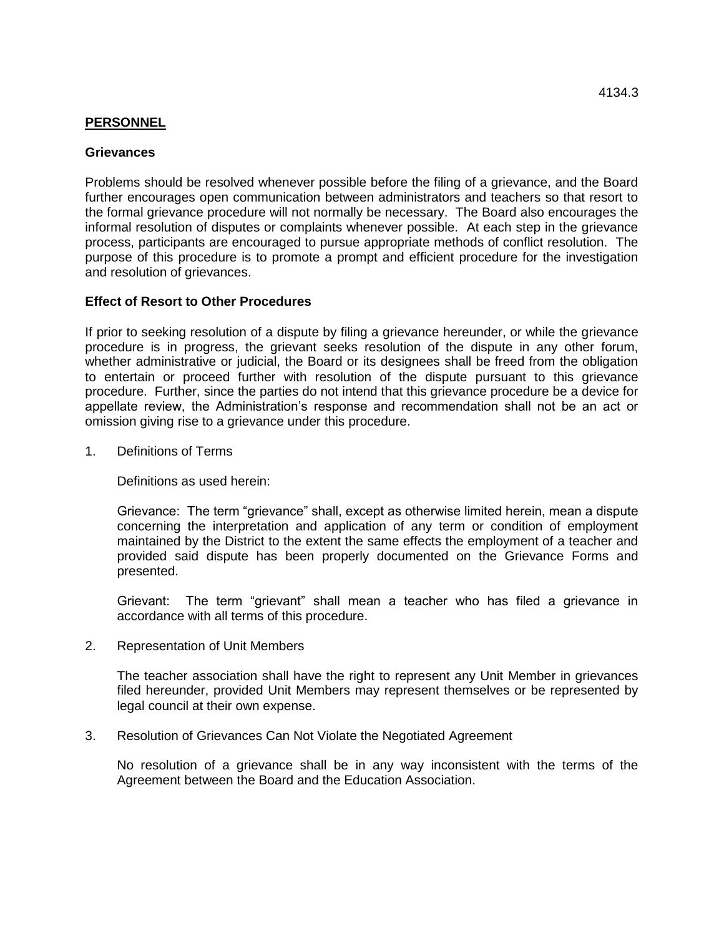## **PERSONNEL**

## **Grievances**

Problems should be resolved whenever possible before the filing of a grievance, and the Board further encourages open communication between administrators and teachers so that resort to the formal grievance procedure will not normally be necessary. The Board also encourages the informal resolution of disputes or complaints whenever possible. At each step in the grievance process, participants are encouraged to pursue appropriate methods of conflict resolution. The purpose of this procedure is to promote a prompt and efficient procedure for the investigation and resolution of grievances.

## **Effect of Resort to Other Procedures**

If prior to seeking resolution of a dispute by filing a grievance hereunder, or while the grievance procedure is in progress, the grievant seeks resolution of the dispute in any other forum, whether administrative or judicial, the Board or its designees shall be freed from the obligation to entertain or proceed further with resolution of the dispute pursuant to this grievance procedure. Further, since the parties do not intend that this grievance procedure be a device for appellate review, the Administration's response and recommendation shall not be an act or omission giving rise to a grievance under this procedure.

1. Definitions of Terms

Definitions as used herein:

Grievance: The term "grievance" shall, except as otherwise limited herein, mean a dispute concerning the interpretation and application of any term or condition of employment maintained by the District to the extent the same effects the employment of a teacher and provided said dispute has been properly documented on the Grievance Forms and presented.

Grievant: The term "grievant" shall mean a teacher who has filed a grievance in accordance with all terms of this procedure.

2. Representation of Unit Members

The teacher association shall have the right to represent any Unit Member in grievances filed hereunder, provided Unit Members may represent themselves or be represented by legal council at their own expense.

3. Resolution of Grievances Can Not Violate the Negotiated Agreement

No resolution of a grievance shall be in any way inconsistent with the terms of the Agreement between the Board and the Education Association.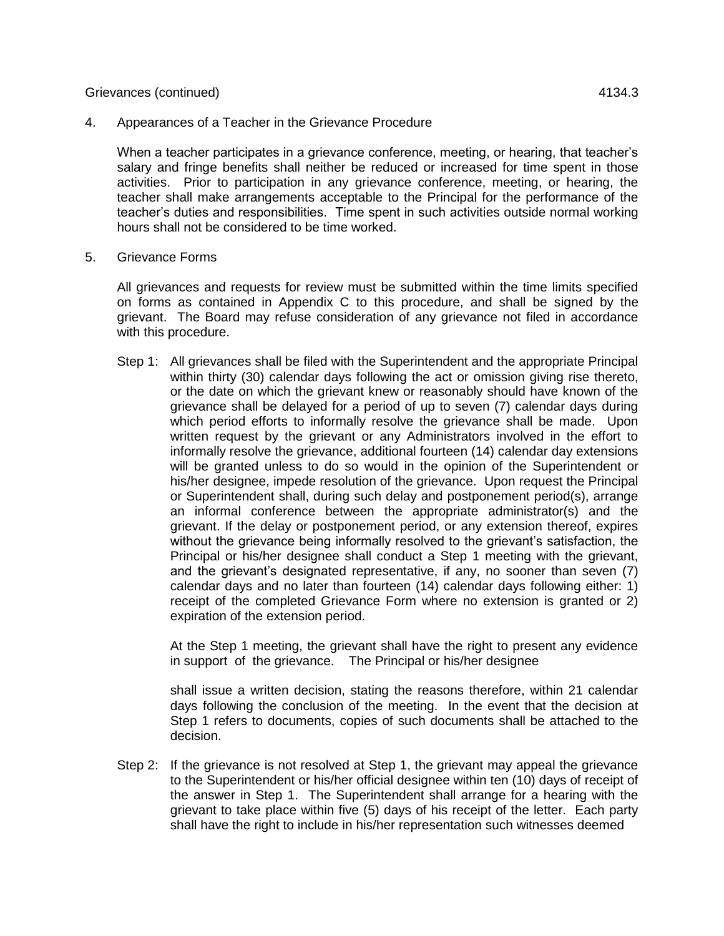## Grievances (continued) 4134.3

4. Appearances of a Teacher in the Grievance Procedure

When a teacher participates in a grievance conference, meeting, or hearing, that teacher's salary and fringe benefits shall neither be reduced or increased for time spent in those activities. Prior to participation in any grievance conference, meeting, or hearing, the teacher shall make arrangements acceptable to the Principal for the performance of the teacher's duties and responsibilities. Time spent in such activities outside normal working hours shall not be considered to be time worked.

5. Grievance Forms

All grievances and requests for review must be submitted within the time limits specified on forms as contained in Appendix C to this procedure, and shall be signed by the grievant. The Board may refuse consideration of any grievance not filed in accordance with this procedure.

Step 1: All grievances shall be filed with the Superintendent and the appropriate Principal within thirty (30) calendar days following the act or omission giving rise thereto, or the date on which the grievant knew or reasonably should have known of the grievance shall be delayed for a period of up to seven (7) calendar days during which period efforts to informally resolve the grievance shall be made. Upon written request by the grievant or any Administrators involved in the effort to informally resolve the grievance, additional fourteen (14) calendar day extensions will be granted unless to do so would in the opinion of the Superintendent or his/her designee, impede resolution of the grievance. Upon request the Principal or Superintendent shall, during such delay and postponement period(s), arrange an informal conference between the appropriate administrator(s) and the grievant. If the delay or postponement period, or any extension thereof, expires without the grievance being informally resolved to the grievant's satisfaction, the Principal or his/her designee shall conduct a Step 1 meeting with the grievant, and the grievant's designated representative, if any, no sooner than seven (7) calendar days and no later than fourteen (14) calendar days following either: 1) receipt of the completed Grievance Form where no extension is granted or 2) expiration of the extension period.

At the Step 1 meeting, the grievant shall have the right to present any evidence in support of the grievance. The Principal or his/her designee

shall issue a written decision, stating the reasons therefore, within 21 calendar days following the conclusion of the meeting. In the event that the decision at Step 1 refers to documents, copies of such documents shall be attached to the decision.

Step 2: If the grievance is not resolved at Step 1, the grievant may appeal the grievance to the Superintendent or his/her official designee within ten (10) days of receipt of the answer in Step 1. The Superintendent shall arrange for a hearing with the grievant to take place within five (5) days of his receipt of the letter. Each party shall have the right to include in his/her representation such witnesses deemed